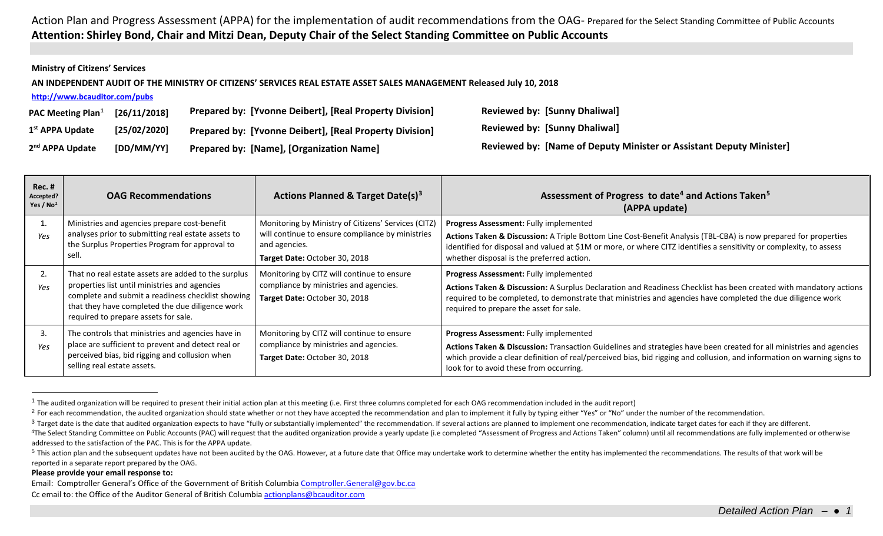## <span id="page-0-4"></span><span id="page-0-3"></span><span id="page-0-2"></span><span id="page-0-1"></span><span id="page-0-0"></span>Action Plan and Progress Assessment (APPA) for the implementation of audit recommendations from the OAG- Prepared for the Select Standing Committee of Public Accounts **Attention: Shirley Bond, Chair and Mitzi Dean, Deputy Chair of the Select Standing Committee on Public Accounts**

## **Ministry of Citizens' Services**

**AN INDEPENDENT AUDIT OF THE MINISTRY OF CITIZENS' SERVICES REAL ESTATE ASSET SALES MANAGEMENT Released July 10, 2018**

| http://www.bcauditor.com/pubs        |              |                                                         |                                                                     |  |  |  |
|--------------------------------------|--------------|---------------------------------------------------------|---------------------------------------------------------------------|--|--|--|
| <b>PAC Meeting Plan</b> <sup>1</sup> | [26/11/2018] | Prepared by: [Yvonne Deibert], [Real Property Division] | <b>Reviewed by: [Sunny Dhaliwal]</b>                                |  |  |  |
| 1 <sup>st</sup> APPA Update          | [25/02/2020] | Prepared by: [Yvonne Deibert], [Real Property Division] | <b>Reviewed by: [Sunny Dhaliwal]</b>                                |  |  |  |
| 2 <sup>nd</sup> APPA Update          | [DD/MM/YY]   | <b>Prepared by: [Name], [Organization Name]</b>         | Reviewed by: [Name of Deputy Minister or Assistant Deputy Minister] |  |  |  |

| <b>Rec. #</b><br>Accepted?<br>Yes / $No2$ | <b>OAG Recommendations</b>                                                                                                                                                                                                                           | Actions Planned & Target Date(s) <sup>3</sup>                                                                                                             | Assessment of Progress to date <sup>4</sup> and Actions Taken <sup>5</sup><br>(APPA update)                                                                                                                                                                                                                                         |
|-------------------------------------------|------------------------------------------------------------------------------------------------------------------------------------------------------------------------------------------------------------------------------------------------------|-----------------------------------------------------------------------------------------------------------------------------------------------------------|-------------------------------------------------------------------------------------------------------------------------------------------------------------------------------------------------------------------------------------------------------------------------------------------------------------------------------------|
| Yes                                       | Ministries and agencies prepare cost-benefit<br>analyses prior to submitting real estate assets to<br>the Surplus Properties Program for approval to<br>sell.                                                                                        | Monitoring by Ministry of Citizens' Services (CITZ)<br>will continue to ensure compliance by ministries<br>and agencies.<br>Target Date: October 30, 2018 | Progress Assessment: Fully implemented<br>Actions Taken & Discussion: A Triple Bottom Line Cost-Benefit Analysis (TBL-CBA) is now prepared for properties<br>identified for disposal and valued at \$1M or more, or where CITZ identifies a sensitivity or complexity, to assess<br>whether disposal is the preferred action.       |
| 2.<br>Yes                                 | That no real estate assets are added to the surplus<br>properties list until ministries and agencies<br>complete and submit a readiness checklist showing<br>that they have completed the due diligence work<br>required to prepare assets for sale. | Monitoring by CITZ will continue to ensure<br>compliance by ministries and agencies.<br>Target Date: October 30, 2018                                     | Progress Assessment: Fully implemented<br>Actions Taken & Discussion: A Surplus Declaration and Readiness Checklist has been created with mandatory actions<br>required to be completed, to demonstrate that ministries and agencies have completed the due diligence work<br>required to prepare the asset for sale.               |
| 3.<br>Yes                                 | The controls that ministries and agencies have in<br>place are sufficient to prevent and detect real or<br>perceived bias, bid rigging and collusion when<br>selling real estate assets.                                                             | Monitoring by CITZ will continue to ensure<br>compliance by ministries and agencies.<br>Target Date: October 30, 2018                                     | Progress Assessment: Fully implemented<br>Actions Taken & Discussion: Transaction Guidelines and strategies have been created for all ministries and agencies<br>which provide a clear definition of real/perceived bias, bid rigging and collusion, and information on warning signs to<br>look for to avoid these from occurring. |

 $1$  The audited organization will be required to present their initial action plan at this meeting (i.e. First three columns completed for each OAG recommendation included in the audit report)

## **Please provide your email response to:**

Email: Comptroller General's Office of the Government of British Columbi[a Comptroller.General@gov.bc.ca](mailto:Comptroller.General@gov.bc.ca) Cc email to: the Office of the Auditor General of British Columbi[a actionplans@bcauditor.com](mailto:actionplans@bcauditor.com)

<sup>&</sup>lt;sup>2</sup> For each recommendation, the audited organization should state whether or not they have accepted the recommendation and plan to implement it fully by typing either "Yes" or "No" under the number of the recommendation.

<sup>&</sup>lt;sup>3</sup> Target date is the date that audited organization expects to have "fully or substantially implemented" the recommendation. If several actions are planned to implement one recommendation, indicate target dates for each <sup>4</sup>The Select Standing Committee on Public Accounts (PAC) will request that the audited organization provide a yearly update (i.e completed "Assessment of Progress and Actions Taken" column) until all recommendations are f addressed to the satisfaction of the PAC. This is for the APPA update.

<sup>&</sup>lt;sup>5</sup> This action plan and the subsequent updates have not been audited by the OAG. However, at a future date that Office may undertake work to determine whether the entity has implemented the recommendations. The results of reported in a separate report prepared by the OAG.